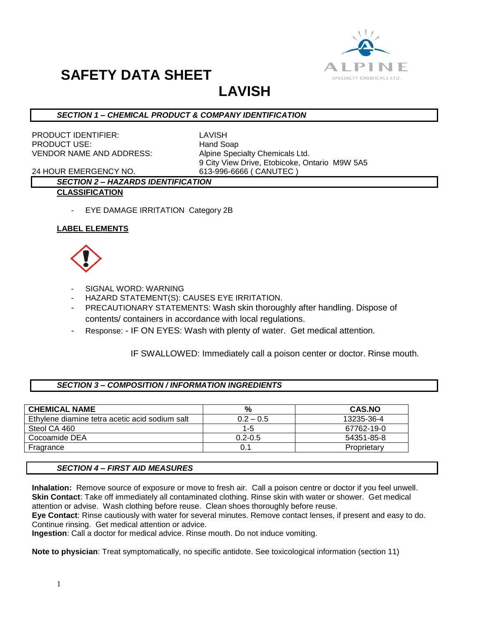

**LAVISH**

# *SECTION 1 – CHEMICAL PRODUCT & COMPANY IDENTIFICATION*

PRODUCT IDENTIFIER: LAVISH PRODUCT USE: Hand Soap VENDOR NAME AND ADDRESS: Alpine Specialty Chemicals Ltd.

9 City View Drive, Etobicoke, Ontario M9W 5A5

24 HOUR EMERGENCY NO. 613-996-6666 ( CANUTEC )

#### *SECTION 2 – HAZARDS IDENTIFICATION* **CLASSIFICATION**

- EYE DAMAGE IRRITATION Category 2B

# **LABEL ELEMENTS**



- SIGNAL WORD: WARNING
- HAZARD STATEMENT(S): CAUSES EYE IRRITATION.
- PRECAUTIONARY STATEMENTS: Wash skin thoroughly after handling. Dispose of contents/ containers in accordance with local regulations.
- Response: IF ON EYES: Wash with plenty of water. Get medical attention.

# IF SWALLOWED: Immediately call a poison center or doctor. Rinse mouth.

#### *SECTION 3 – COMPOSITION / INFORMATION INGREDIENTS*

| <b>CHEMICAL NAME</b>                           | %           | <b>CAS.NO</b> |
|------------------------------------------------|-------------|---------------|
| Ethylene diamine tetra acetic acid sodium salt | $0.2 - 0.5$ | 13235-36-4    |
| Steol CA 460                                   | $1-5$       | 67762-19-0    |
| Cocoamide DEA                                  | $0.2 - 0.5$ | 54351-85-8    |
| Fragrance                                      | 0.1         | Proprietary   |

#### *SECTION 4 – FIRST AID MEASURES*

**Inhalation:** Remove source of exposure or move to fresh air. Call a poison centre or doctor if you feel unwell. **Skin Contact**: Take off immediately all contaminated clothing. Rinse skin with water or shower. Get medical attention or advise. Wash clothing before reuse. Clean shoes thoroughly before reuse.

**Eye Contact**: Rinse cautiously with water for several minutes. Remove contact lenses, if present and easy to do. Continue rinsing. Get medical attention or advice.

**Ingestion**: Call a doctor for medical advice. Rinse mouth. Do not induce vomiting.

**Note to physician**: Treat symptomatically, no specific antidote. See toxicological information (section 11)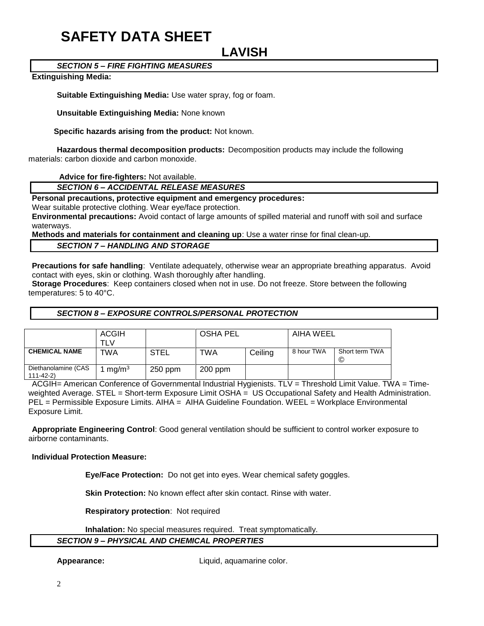# **LAVISH**

# *SECTION 5 – FIRE FIGHTING MEASURES*

#### **Extinguishing Media:**

**Suitable Extinguishing Media:** Use water spray, fog or foam.

**Unsuitable Extinguishing Media:** None known

 **Specific hazards arising from the product:** Not known.

**Hazardous thermal decomposition products:** Decomposition products may include the following materials: carbon dioxide and carbon monoxide.

**Advice for fire-fighters:** Not available.

# *SECTION 6 – ACCIDENTAL RELEASE MEASURES*

**Personal precautions, protective equipment and emergency procedures:**

Wear suitable protective clothing. Wear eye/face protection.

**Environmental precautions:** Avoid contact of large amounts of spilled material and runoff with soil and surface waterways.

**Methods and materials for containment and cleaning up**: Use a water rinse for final clean-up.

*SECTION 7 – HANDLING AND STORAGE*

**Precautions for safe handling**: Ventilate adequately, otherwise wear an appropriate breathing apparatus. Avoid contact with eyes, skin or clothing. Wash thoroughly after handling.

**Storage Procedures**: Keep containers closed when not in use. Do not freeze. Store between the following temperatures: 5 to 40°C.

#### *SECTION 8 – EXPOSURE CONTROLS/PERSONAL PROTECTION*

|                                       | <b>ACGIH</b><br>⊤LV⊥ |         | <b>OSHA PEL</b> |         | AIHA WEEL  |                     |
|---------------------------------------|----------------------|---------|-----------------|---------|------------|---------------------|
| <b>CHEMICAL NAME</b>                  | <b>TWA</b>           | STEL    | TWA             | Ceiling | 8 hour TWA | Short term TWA<br>C |
| Diethanolamine (CAS<br>$111 - 42 - 2$ | mg/m <sup>3</sup>    | 250 ppm | $200$ ppm       |         |            |                     |

ACGIH= American Conference of Governmental Industrial Hygienists. TLV = Threshold Limit Value. TWA = Timeweighted Average. STEL = Short-term Exposure Limit OSHA = US Occupational Safety and Health Administration. PEL = Permissible Exposure Limits. AIHA = AIHA Guideline Foundation. WEEL = Workplace Environmental Exposure Limit.

**Appropriate Engineering Control**: Good general ventilation should be sufficient to control worker exposure to airborne contaminants.

**Individual Protection Measure:**

**Eye/Face Protection:** Do not get into eyes. Wear chemical safety goggles.

**Skin Protection:** No known effect after skin contact. Rinse with water.

**Respiratory protection**: Not required

**Inhalation:** No special measures required. Treat symptomatically.

# *SECTION 9 – PHYSICAL AND CHEMICAL PROPERTIES*

**Appearance:** Liquid, aquamarine color.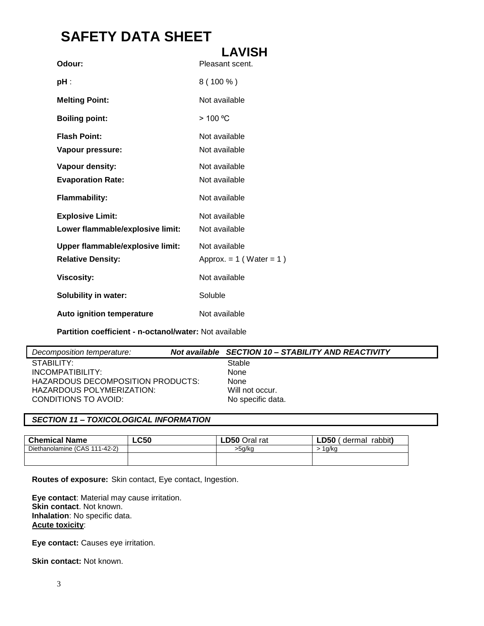|                                  | <b>LAVISH</b>                |
|----------------------------------|------------------------------|
| Odour:                           | Pleasant scent.              |
| pH :                             | $8(100\%)$                   |
| <b>Melting Point:</b>            | Not available                |
| <b>Boiling point:</b>            | > 100 °C                     |
| <b>Flash Point:</b>              | Not available                |
| Vapour pressure:                 | Not available                |
| Vapour density:                  | Not available                |
| <b>Evaporation Rate:</b>         | Not available                |
| <b>Flammability:</b>             | Not available                |
| <b>Explosive Limit:</b>          | Not available                |
| Lower flammable/explosive limit: | Not available                |
| Upper flammable/explosive limit: | Not available                |
| <b>Relative Density:</b>         | Approx. $= 1$ (Water $= 1$ ) |
| <b>Viscosity:</b>                | Not available                |
| <b>Solubility in water:</b>      | Soluble                      |
| <b>Auto ignition temperature</b> | Not available                |

**Partition coefficient - n-octanol/water:** Not available

| Decomposition temperature:        | Not available SECTION 10 - STABILITY AND REACTIVITY |
|-----------------------------------|-----------------------------------------------------|
| STABILITY:                        | Stable                                              |
| INCOMPATIBILITY:                  | None                                                |
| HAZARDOUS DECOMPOSITION PRODUCTS: | None                                                |
| HAZARDOUS POLYMERIZATION:         | Will not occur.                                     |
| CONDITIONS TO AVOID:              | No specific data.                                   |

# *SECTION 11 – TOXICOLOGICAL INFORMATION*

| <b>LC50</b> | <b>LD50 Oral rat</b> | <b>LD50</b><br>rabbit)<br>dermal |
|-------------|----------------------|----------------------------------|
|             | >5a/ka               | 1a/ko                            |
|             |                      |                                  |
|             |                      |                                  |

**Routes of exposure:** Skin contact, Eye contact, Ingestion.

**Eye contact**: Material may cause irritation. **Skin contact**. Not known. **Inhalation**: No specific data. **Acute toxicity**:

**Eye contact:** Causes eye irritation.

**Skin contact: Not known.**